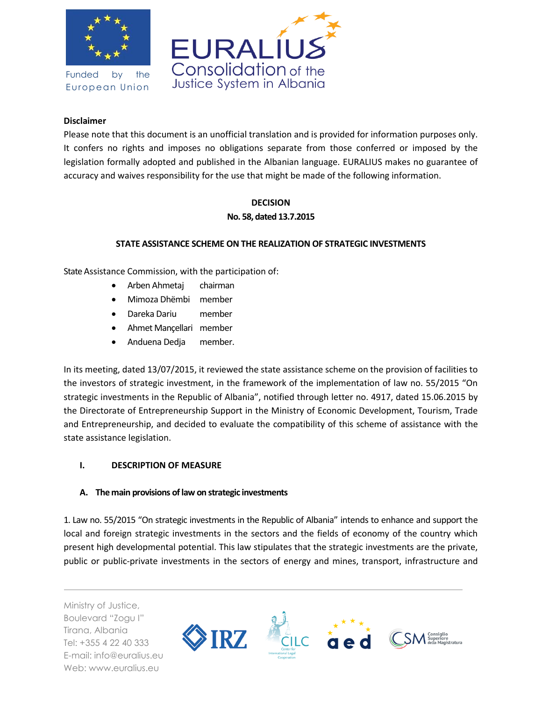

Funded by the European Union



## **Disclaimer**

Please note that this document is an unofficial translation and is provided for information purposes only. It confers no rights and imposes no obligations separate from those conferred or imposed by the legislation formally adopted and published in the Albanian language. EURALIUS makes no guarantee of accuracy and waives responsibility for the use that might be made of the following information.

# **DECISION No. 58, dated 13.7.2015**

## **STATE ASSISTANCE SCHEME ON THE REALIZATION OF STRATEGIC INVESTMENTS**

State Assistance Commission, with the participation of:

- Arben Ahmetaj chairman
- Mimoza Dhëmbi member
- Dareka Dariu member
- Ahmet Mançellari member
- Anduena Dedja member.

In its meeting, dated 13/07/2015, it reviewed the state assistance scheme on the provision of facilities to the investors of strategic investment, in the framework of the implementation of law no. 55/2015 "On strategic investments in the Republic of Albania", notified through letter no. 4917, dated 15.06.2015 by the Directorate of Entrepreneurship Support in the Ministry of Economic Development, Tourism, Trade and Entrepreneurship, and decided to evaluate the compatibility of this scheme of assistance with the state assistance legislation.

#### **I. DESCRIPTION OF MEASURE**

#### **A. The main provisions of law on strategic investments**

1. Law no. 55/2015 "On strategic investments in the Republic of Albania" intends to enhance and support the local and foreign strategic investments in the sectors and the fields of economy of the country which present high developmental potential. This law stipulates that the strategic investments are the private, public or public-private investments in the sectors of energy and mines, transport, infrastructure and

Ministry of Justice, Boulevard "Zogu I" Tirana, Albania Tel: +355 4 22 40 333 E-mail: info@euralius.eu Web: www.euralius.eu

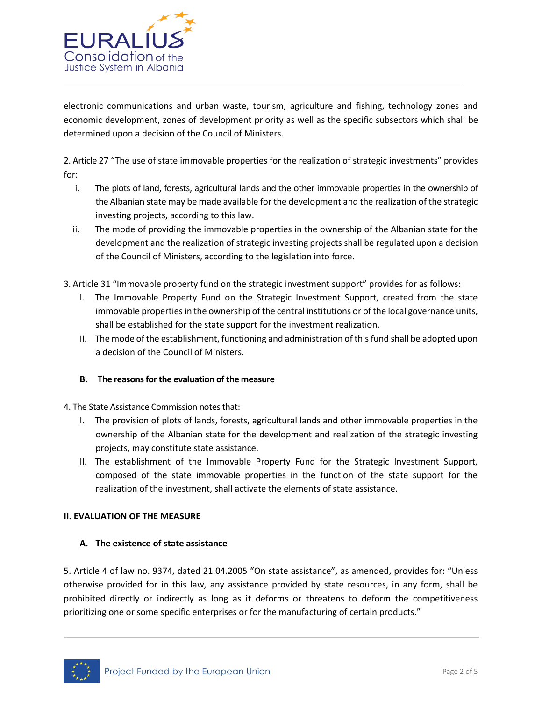

electronic communications and urban waste, tourism, agriculture and fishing, technology zones and economic development, zones of development priority as well as the specific subsectors which shall be determined upon a decision of the Council of Ministers.

2. Article 27 "The use of state immovable properties for the realization of strategic investments" provides for:

- i. The plots of land, forests, agricultural lands and the other immovable properties in the ownership of the Albanian state may be made available for the development and the realization of the strategic investing projects, according to this law.
- ii. The mode of providing the immovable properties in the ownership of the Albanian state for the development and the realization of strategic investing projects shall be regulated upon a decision of the Council of Ministers, according to the legislation into force.
- 3. Article 31 "Immovable property fund on the strategic investment support" provides for as follows:
	- I. The Immovable Property Fund on the Strategic Investment Support, created from the state immovable properties in the ownership of the central institutions or of the local governance units, shall be established for the state support for the investment realization.
	- II. The mode of the establishment, functioning and administration of this fund shall be adopted upon a decision of the Council of Ministers.

#### **B. The reasons for the evaluation of the measure**

4. The State Assistance Commission notes that:

- I. The provision of plots of lands, forests, agricultural lands and other immovable properties in the ownership of the Albanian state for the development and realization of the strategic investing projects, may constitute state assistance.
- II. The establishment of the Immovable Property Fund for the Strategic Investment Support, composed of the state immovable properties in the function of the state support for the realization of the investment, shall activate the elements of state assistance.

#### **II. EVALUATION OF THE MEASURE**

#### **A. The existence of state assistance**

5. Article 4 of law no. 9374, dated 21.04.2005 "On state assistance", as amended, provides for: "Unless otherwise provided for in this law, any assistance provided by state resources, in any form, shall be prohibited directly or indirectly as long as it deforms or threatens to deform the competitiveness prioritizing one or some specific enterprises or for the manufacturing of certain products."

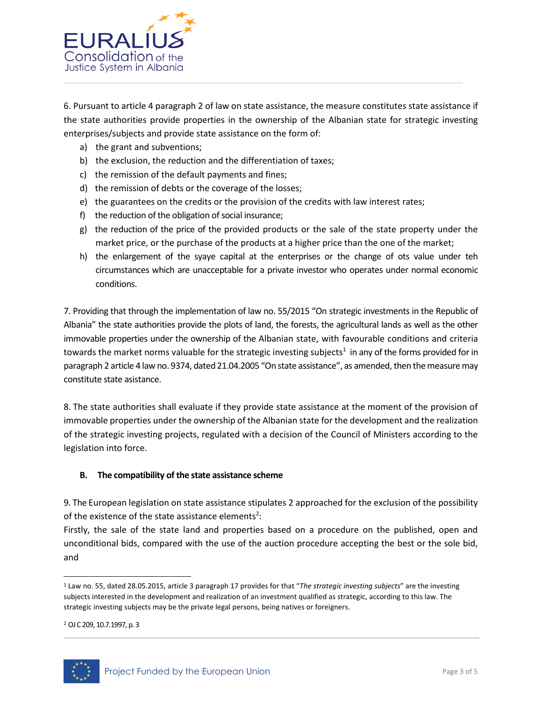

6. Pursuant to article 4 paragraph 2 of law on state assistance, the measure constitutes state assistance if the state authorities provide properties in the ownership of the Albanian state for strategic investing enterprises/subjects and provide state assistance on the form of:

- a) the grant and subventions;
- b) the exclusion, the reduction and the differentiation of taxes;
- c) the remission of the default payments and fines;
- d) the remission of debts or the coverage of the losses;
- e) the guarantees on the credits or the provision of the credits with law interest rates;
- f) the reduction of the obligation of social insurance;
- g) the reduction of the price of the provided products or the sale of the state property under the market price, or the purchase of the products at a higher price than the one of the market;
- h) the enlargement of the syaye capital at the enterprises or the change of ots value under teh circumstances which are unacceptable for a private investor who operates under normal economic conditions.

7. Providing that through the implementation of law no. 55/2015 "On strategic investments in the Republic of Albania" the state authorities provide the plots of land, the forests, the agricultural lands as well as the other immovable properties under the ownership of the Albanian state, with favourable conditions and criteria towards the market norms valuable for the strategic investing subjects<sup>1</sup> in any of the forms provided for in paragraph 2 article 4 law no. 9374, dated 21.04.2005 "On state assistance", as amended, then the measure may constitute state asistance.

8. The state authorities shall evaluate if they provide state assistance at the moment of the provision of immovable properties under the ownership of the Albanian state for the development and the realization of the strategic investing projects, regulated with a decision of the Council of Ministers according to the legislation into force.

#### **B. The compatibility of the state assistance scheme**

9. The European legislation on state assistance stipulates 2 approached for the exclusion of the possibility of the existence of the state assistance elements<sup>2</sup>:

Firstly, the sale of the state land and properties based on a procedure on the published, open and unconditional bids, compared with the use of the auction procedure accepting the best or the sole bid, and

<sup>2</sup> OJ C 209, 10.7.1997, p. 3



l

<sup>1</sup> Law no. 55, dated 28.05.2015, article 3 paragraph 17 provides for that "*The strategic investing subjects*" are the investing subjects interested in the development and realization of an investment qualified as strategic, according to this law. The strategic investing subjects may be the private legal persons, being natives or foreigners.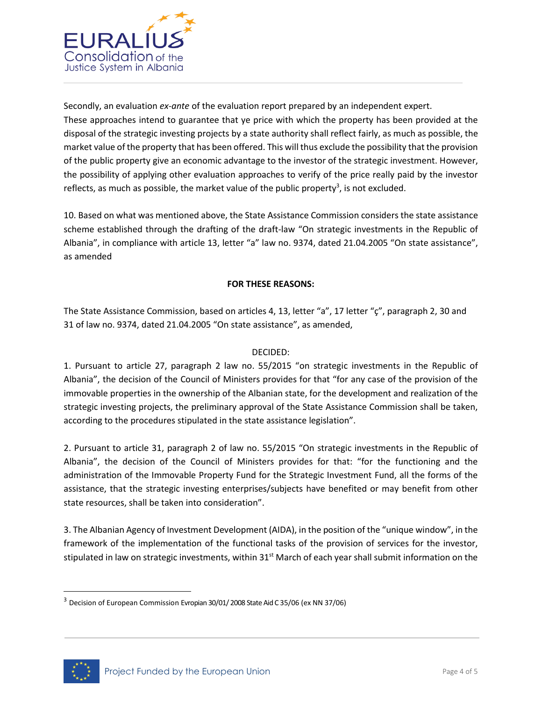

Secondly, an evaluation *ex-ante* of the evaluation report prepared by an independent expert. These approaches intend to guarantee that ye price with which the property has been provided at the disposal of the strategic investing projects by a state authority shall reflect fairly, as much as possible, the market value of the property that has been offered. This will thus exclude the possibility that the provision of the public property give an economic advantage to the investor of the strategic investment. However, the possibility of applying other evaluation approaches to verify of the price really paid by the investor reflects, as much as possible, the market value of the public property<sup>3</sup>, is not excluded.

10. Based on what was mentioned above, the State Assistance Commission considers the state assistance scheme established through the drafting of the draft-law "On strategic investments in the Republic of Albania", in compliance with article 13, letter "a" law no. 9374, dated 21.04.2005 "On state assistance", as amended

## **FOR THESE REASONS:**

The State Assistance Commission, based on articles 4, 13, letter "a", 17 letter "ç", paragraph 2, 30 and 31 of law no. 9374, dated 21.04.2005 "On state assistance", as amended,

## DECIDED:

1. Pursuant to article 27, paragraph 2 law no. 55/2015 "on strategic investments in the Republic of Albania", the decision of the Council of Ministers provides for that "for any case of the provision of the immovable properties in the ownership of the Albanian state, for the development and realization of the strategic investing projects, the preliminary approval of the State Assistance Commission shall be taken, according to the procedures stipulated in the state assistance legislation".

2. Pursuant to article 31, paragraph 2 of law no. 55/2015 "On strategic investments in the Republic of Albania", the decision of the Council of Ministers provides for that: "for the functioning and the administration of the Immovable Property Fund for the Strategic Investment Fund, all the forms of the assistance, that the strategic investing enterprises/subjects have benefited or may benefit from other state resources, shall be taken into consideration".

3. The Albanian Agency of Investment Development (AIDA), in the position of the "unique window", in the framework of the implementation of the functional tasks of the provision of services for the investor, stipulated in law on strategic investments, within  $31<sup>st</sup>$  March of each year shall submit information on the



 $\overline{\phantom{a}}$ 

<sup>3</sup> Decision of European Commission Evropian 30/01/ 2008 State Aid C 35/06 (ex NN 37/06)